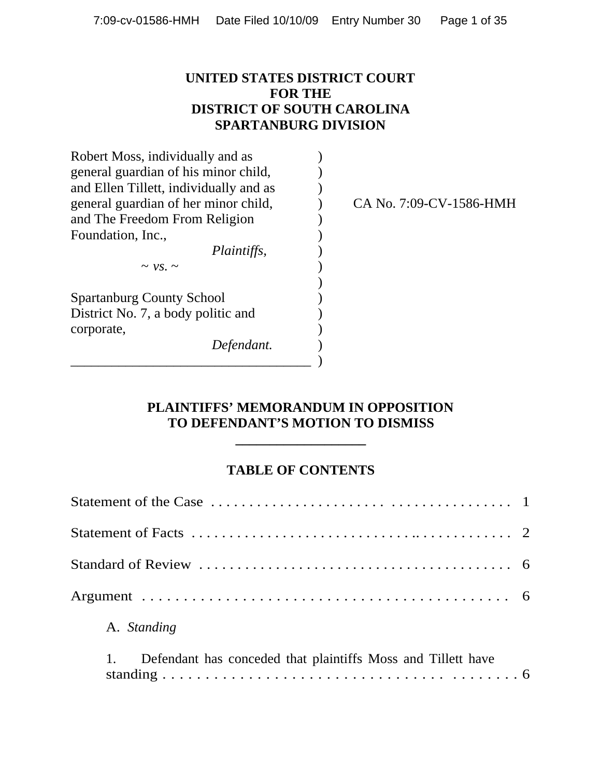### **UNITED STATES DISTRICT COURT FOR THE DISTRICT OF SOUTH CAROLINA SPARTANBURG DIVISION**

| Robert Moss, individually and as       |                         |
|----------------------------------------|-------------------------|
| general guardian of his minor child,   |                         |
| and Ellen Tillett, individually and as |                         |
| general guardian of her minor child,   | CA No. 7:09-CV-1586-HMH |
| and The Freedom From Religion          |                         |
| Foundation, Inc.,                      |                         |
| <i>Plaintiffs,</i>                     |                         |
| $\sim$ VS, $\sim$                      |                         |
|                                        |                         |
| <b>Spartanburg County School</b>       |                         |
| District No. 7, a body politic and     |                         |
| corporate,                             |                         |
| Defendant.                             |                         |
|                                        |                         |

### **PLAINTIFFS' MEMORANDUM IN OPPOSITION TO DEFENDANT'S MOTION TO DISMISS**

**\_\_\_\_\_\_\_\_\_\_\_\_\_\_\_\_\_\_\_**

### **TABLE OF CONTENTS**

| A. Standing                                                  |  |
|--------------------------------------------------------------|--|
| Defendant has conceded that plaintiffs Moss and Tillett have |  |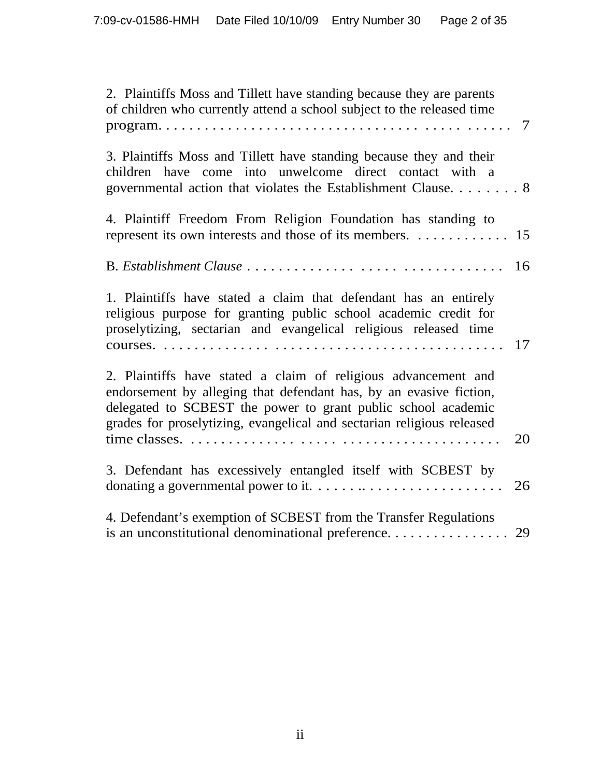| 2. Plaintiffs Moss and Tillett have standing because they are parents<br>of children who currently attend a school subject to the released time<br>$\mathbf{program.} \dots \dots \dots \dots \dots \dots \dots \dots \dots \dots \dots \dots \dots \dots$                      | 7  |
|---------------------------------------------------------------------------------------------------------------------------------------------------------------------------------------------------------------------------------------------------------------------------------|----|
| 3. Plaintiffs Moss and Tillett have standing because they and their<br>children have come into unwelcome direct contact with a<br>governmental action that violates the Establishment Clause 8                                                                                  |    |
| 4. Plaintiff Freedom From Religion Foundation has standing to<br>represent its own interests and those of its members. $\dots \dots \dots \dots \dots$ 15                                                                                                                       |    |
|                                                                                                                                                                                                                                                                                 | 16 |
| 1. Plaintiffs have stated a claim that defendant has an entirely<br>religious purpose for granting public school academic credit for<br>proselytizing, sectarian and evangelical religious released time                                                                        | 17 |
| 2. Plaintiffs have stated a claim of religious advancement and<br>endorsement by alleging that defendant has, by an evasive fiction,<br>delegated to SCBEST the power to grant public school academic<br>grades for proselytizing, evangelical and sectarian religious released | 20 |
| 3. Defendant has excessively entangled itself with SCBEST by                                                                                                                                                                                                                    | 26 |
| 4. Defendant's exemption of SCBEST from the Transfer Regulations                                                                                                                                                                                                                |    |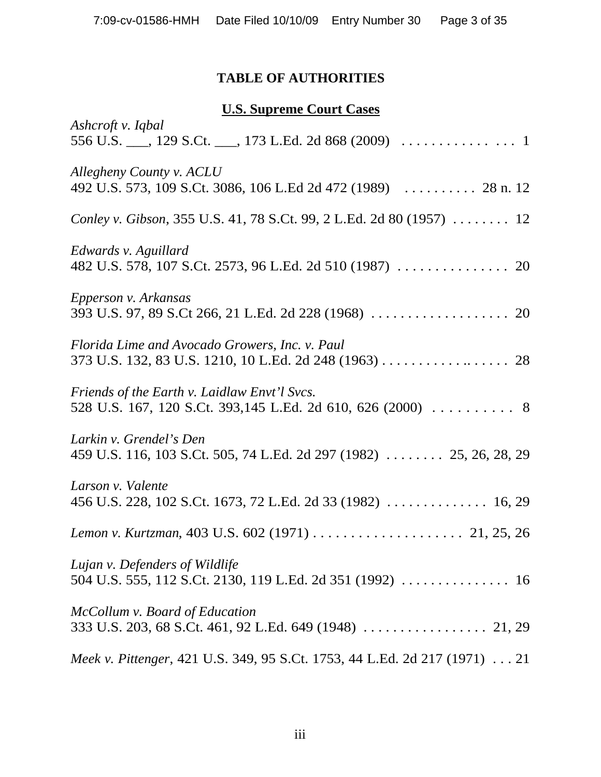# **TABLE OF AUTHORITIES**

# **U.S. Supreme Court Cases**

| Ashcroft v. Iqbal                                                                                          |
|------------------------------------------------------------------------------------------------------------|
| Allegheny County v. ACLU<br>492 U.S. 573, 109 S.Ct. 3086, 106 L.Ed 2d 472 (1989)  28 n. 12                 |
| Conley v. Gibson, 355 U.S. 41, 78 S.Ct. 99, 2 L.Ed. 2d 80 (1957)  12                                       |
| Edwards v. Aguillard                                                                                       |
| Epperson v. Arkansas                                                                                       |
| Florida Lime and Avocado Growers, Inc. v. Paul<br>373 U.S. 132, 83 U.S. 1210, 10 L.Ed. 2d 248 (1963) 28    |
| Friends of the Earth v. Laidlaw Envt'l Svcs.<br>528 U.S. 167, 120 S.Ct. 393,145 L.Ed. 2d 610, 626 (2000) 8 |
| Larkin v. Grendel's Den<br>459 U.S. 116, 103 S.Ct. 505, 74 L.Ed. 2d 297 (1982)  25, 26, 28, 29             |
| Larson v. Valente                                                                                          |
|                                                                                                            |
| Lujan v. Defenders of Wildlife                                                                             |
| McCollum v. Board of Education                                                                             |
| Meek v. Pittenger, 421 U.S. 349, 95 S.Ct. 1753, 44 L.Ed. 2d 217 (1971) 21                                  |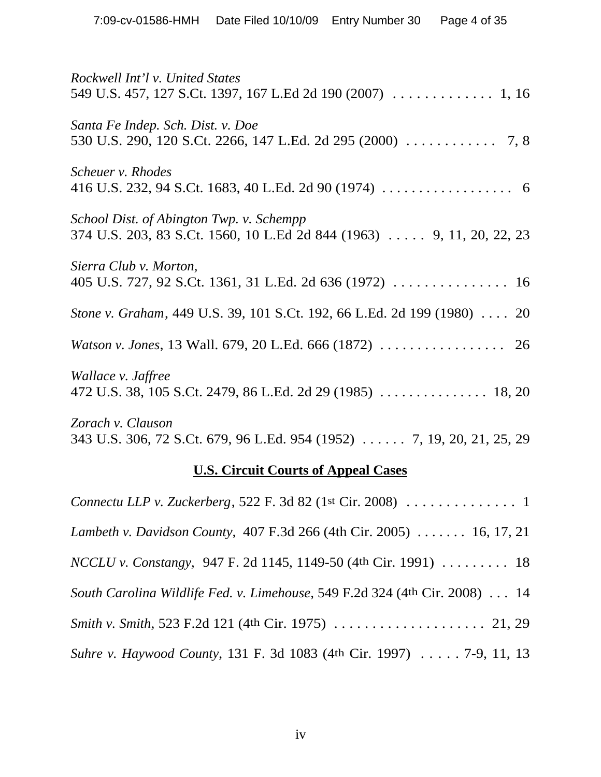| Rockwell Int'l v. United States<br>549 U.S. 457, 127 S.Ct. 1397, 167 L.Ed 2d 190 (2007) 1, 16                    |  |  |
|------------------------------------------------------------------------------------------------------------------|--|--|
| Santa Fe Indep. Sch. Dist. v. Doe<br>530 U.S. 290, 120 S.Ct. 2266, 147 L.Ed. 2d 295 (2000) 7, 8                  |  |  |
| Scheuer v. Rhodes                                                                                                |  |  |
| School Dist. of Abington Twp. v. Schempp<br>374 U.S. 203, 83 S.Ct. 1560, 10 L.Ed 2d 844 (1963) 9, 11, 20, 22, 23 |  |  |
| Sierra Club v. Morton,                                                                                           |  |  |
| Stone v. Graham, 449 U.S. 39, 101 S.Ct. 192, 66 L.Ed. 2d 199 (1980) 20                                           |  |  |
|                                                                                                                  |  |  |
| Wallace v. Jaffree                                                                                               |  |  |
| Zorach v. Clauson<br>343 U.S. 306, 72 S.Ct. 679, 96 L.Ed. 954 (1952)  7, 19, 20, 21, 25, 29                      |  |  |
| <b>U.S. Circuit Courts of Appeal Cases</b>                                                                       |  |  |
| Connectu LLP v. Zuckerberg, 522 F. 3d 82 (1st Cir. 2008) $\ldots \ldots \ldots \ldots$                           |  |  |
| Lambeth v. Davidson County, 407 F.3d 266 (4th Cir. 2005)  16, 17, 21                                             |  |  |
| <i>NCCLU v. Constangy</i> , 947 F. 2d 1145, 1149-50 (4th Cir. 1991)  18                                          |  |  |
| South Carolina Wildlife Fed. v. Limehouse, 549 F.2d 324 (4th Cir. 2008)  14                                      |  |  |

*Smith v. Smith*, 523 F.2d 121 (4th Cir. 1975) . . . . . . . . . . . . . . . . . . . . 21, 29

*Suhre v. Haywood County*, 131 F. 3d 1083 (4th Cir. 1997) . . . . . 7-9, 11, 13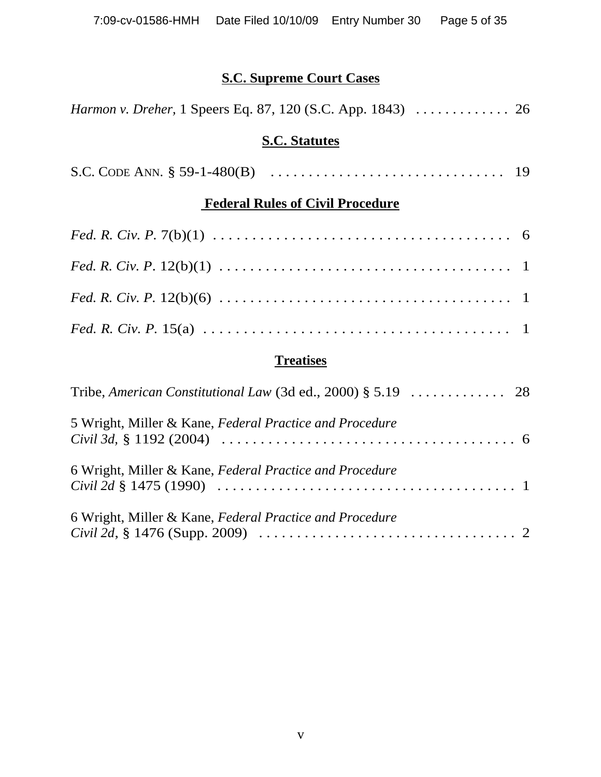# **S.C. Supreme Court Cases**

| <i>Harmon v. Dreher, 1 Speers Eq. 87, 120 (S.C. App. 1843)  26</i> |  |  |
|--------------------------------------------------------------------|--|--|
| <b>S.C. Statutes</b>                                               |  |  |
|                                                                    |  |  |
| <b>Federal Rules of Civil Procedure</b>                            |  |  |
|                                                                    |  |  |
|                                                                    |  |  |
|                                                                    |  |  |
|                                                                    |  |  |
| <b>Treatises</b>                                                   |  |  |
|                                                                    |  |  |

| 5 Wright, Miller & Kane, Federal Practice and Procedure |  |
|---------------------------------------------------------|--|
|                                                         |  |
| 6 Wright, Miller & Kane, Federal Practice and Procedure |  |
| 6 Wright, Miller & Kane, Federal Practice and Procedure |  |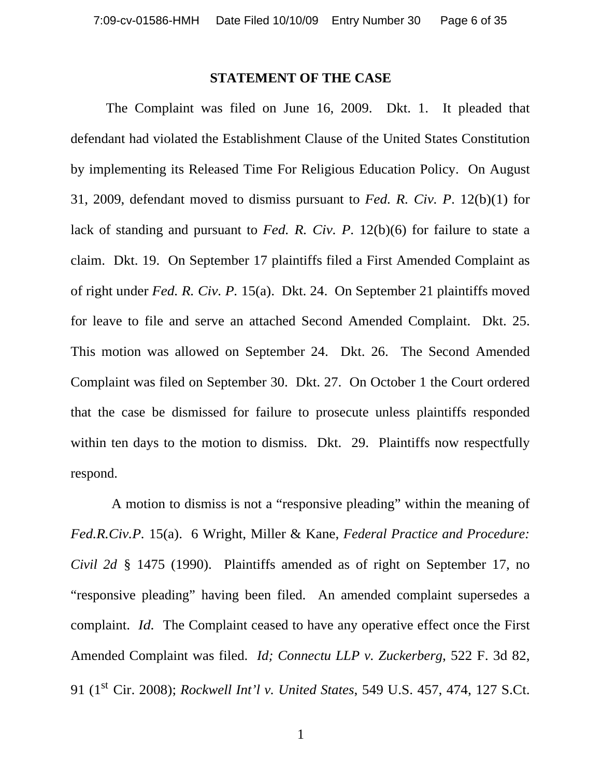#### **STATEMENT OF THE CASE**

The Complaint was filed on June 16, 2009. Dkt. 1. It pleaded that defendant had violated the Establishment Clause of the United States Constitution by implementing its Released Time For Religious Education Policy. On August 31, 2009, defendant moved to dismiss pursuant to *Fed. R. Civ. P*. 12(b)(1) for lack of standing and pursuant to *Fed. R. Civ. P.* 12(b)(6) for failure to state a claim. Dkt. 19. On September 17 plaintiffs filed a First Amended Complaint as of right under *Fed. R. Civ. P.* 15(a). Dkt. 24. On September 21 plaintiffs moved for leave to file and serve an attached Second Amended Complaint. Dkt. 25. This motion was allowed on September 24. Dkt. 26. The Second Amended Complaint was filed on September 30. Dkt. 27. On October 1 the Court ordered that the case be dismissed for failure to prosecute unless plaintiffs responded within ten days to the motion to dismiss. Dkt. 29. Plaintiffs now respectfully respond.

 A motion to dismiss is not a "responsive pleading" within the meaning of *Fed.R.Civ.P.* 15(a). 6 Wright, Miller & Kane, *Federal Practice and Procedure: Civil 2d* § 1475 (1990). Plaintiffs amended as of right on September 17, no "responsive pleading" having been filed. An amended complaint supersedes a complaint. *Id.* The Complaint ceased to have any operative effect once the First Amended Complaint was filed. *Id; Connectu LLP v. Zuckerberg*, 522 F. 3d 82, 91 (1st Cir. 2008); *Rockwell Int'l v. United States*, 549 U.S. 457, 474, 127 S.Ct.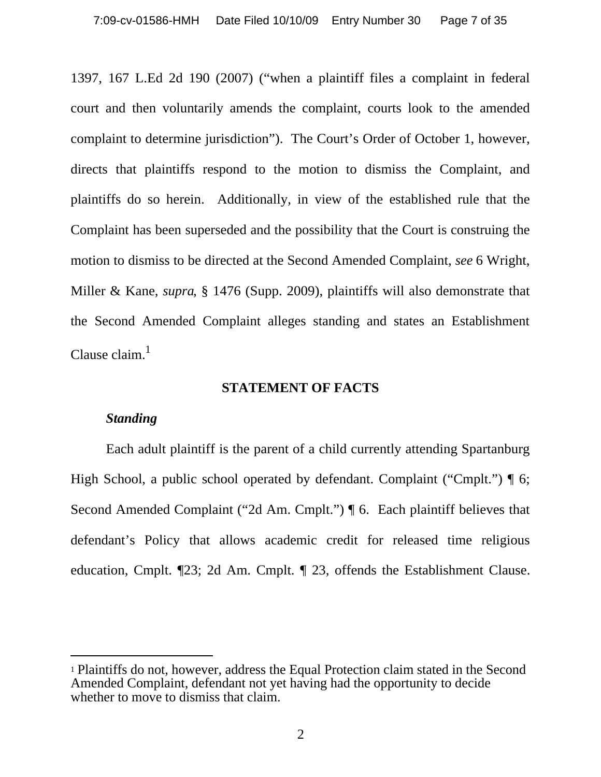1397, 167 L.Ed 2d 190 (2007) ("when a plaintiff files a complaint in federal court and then voluntarily amends the complaint, courts look to the amended complaint to determine jurisdiction"). The Court's Order of October 1, however, directs that plaintiffs respond to the motion to dismiss the Complaint, and plaintiffs do so herein. Additionally, in view of the established rule that the Complaint has been superseded and the possibility that the Court is construing the motion to dismiss to be directed at the Second Amended Complaint, *see* 6 Wright, Miller & Kane, *supra*, § 1476 (Supp. 2009), plaintiffs will also demonstrate that the Second Amended Complaint alleges standing and states an Establishment Clause claim. $<sup>1</sup>$ </sup>

#### **STATEMENT OF FACTS**

#### *Standing*

Each adult plaintiff is the parent of a child currently attending Spartanburg High School, a public school operated by defendant. Complaint ("Cmplt.")  $\parallel$  6; Second Amended Complaint ("2d Am. Cmplt.") ¶ 6. Each plaintiff believes that defendant's Policy that allows academic credit for released time religious education, Cmplt. ¶23; 2d Am. Cmplt. ¶ 23, offends the Establishment Clause.

<sup>1</sup> Plaintiffs do not, however, address the Equal Protection claim stated in the Second Amended Complaint, defendant not yet having had the opportunity to decide whether to move to dismiss that claim.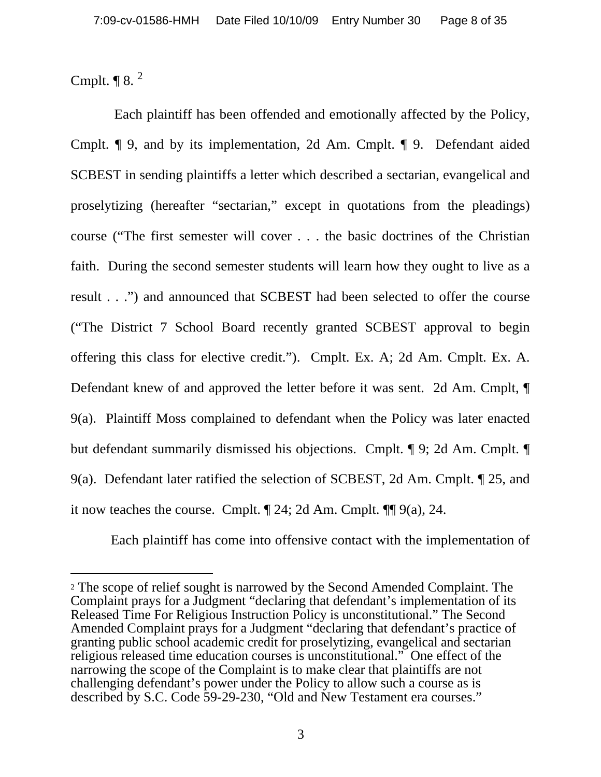Cmplt.  $\P$  8.  $^2$ 

 Each plaintiff has been offended and emotionally affected by the Policy, Cmplt. ¶ 9, and by its implementation, 2d Am. Cmplt. ¶ 9. Defendant aided SCBEST in sending plaintiffs a letter which described a sectarian, evangelical and proselytizing (hereafter "sectarian," except in quotations from the pleadings) course ("The first semester will cover . . . the basic doctrines of the Christian faith. During the second semester students will learn how they ought to live as a result . . .") and announced that SCBEST had been selected to offer the course ("The District 7 School Board recently granted SCBEST approval to begin offering this class for elective credit."). Cmplt. Ex. A; 2d Am. Cmplt. Ex. A. Defendant knew of and approved the letter before it was sent. 2d Am. Cmplt, ¶ 9(a). Plaintiff Moss complained to defendant when the Policy was later enacted but defendant summarily dismissed his objections. Cmplt. ¶ 9; 2d Am. Cmplt. ¶ 9(a). Defendant later ratified the selection of SCBEST, 2d Am. Cmplt. ¶ 25, and it now teaches the course. Cmplt. ¶ 24; 2d Am. Cmplt. ¶¶ 9(a), 24.

Each plaintiff has come into offensive contact with the implementation of

<sup>2</sup> The scope of relief sought is narrowed by the Second Amended Complaint. The Complaint prays for a Judgment "declaring that defendant's implementation of its Released Time For Religious Instruction Policy is unconstitutional." The Second Amended Complaint prays for a Judgment "declaring that defendant's practice of granting public school academic credit for proselytizing, evangelical and sectarian religious released time education courses is unconstitutional." One effect of the narrowing the scope of the Complaint is to make clear that plaintiffs are not challenging defendant's power under the Policy to allow such a course as is described by S.C. Code 59-29-230, "Old and New Testament era courses."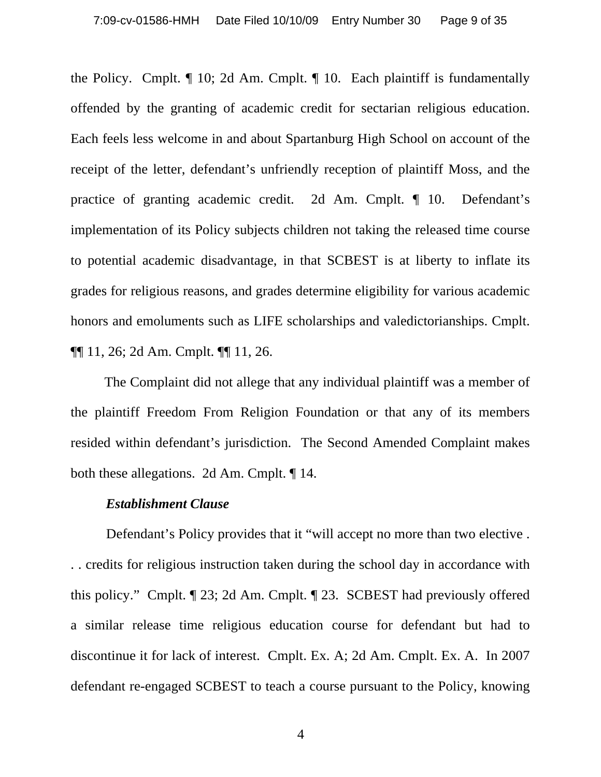the Policy. Cmplt. ¶ 10; 2d Am. Cmplt. ¶ 10. Each plaintiff is fundamentally offended by the granting of academic credit for sectarian religious education. Each feels less welcome in and about Spartanburg High School on account of the receipt of the letter, defendant's unfriendly reception of plaintiff Moss, and the practice of granting academic credit. 2d Am. Cmplt. ¶ 10. Defendant's implementation of its Policy subjects children not taking the released time course to potential academic disadvantage, in that SCBEST is at liberty to inflate its grades for religious reasons, and grades determine eligibility for various academic honors and emoluments such as LIFE scholarships and valedictorianships. Cmplt. ¶¶ 11, 26; 2d Am. Cmplt. ¶¶ 11, 26.

 The Complaint did not allege that any individual plaintiff was a member of the plaintiff Freedom From Religion Foundation or that any of its members resided within defendant's jurisdiction. The Second Amended Complaint makes both these allegations. 2d Am. Cmplt. ¶ 14.

#### *Establishment Clause*

 Defendant's Policy provides that it "will accept no more than two elective . . . credits for religious instruction taken during the school day in accordance with this policy." Cmplt. ¶ 23; 2d Am. Cmplt. ¶ 23. SCBEST had previously offered a similar release time religious education course for defendant but had to discontinue it for lack of interest. Cmplt. Ex. A; 2d Am. Cmplt. Ex. A. In 2007 defendant re-engaged SCBEST to teach a course pursuant to the Policy, knowing

4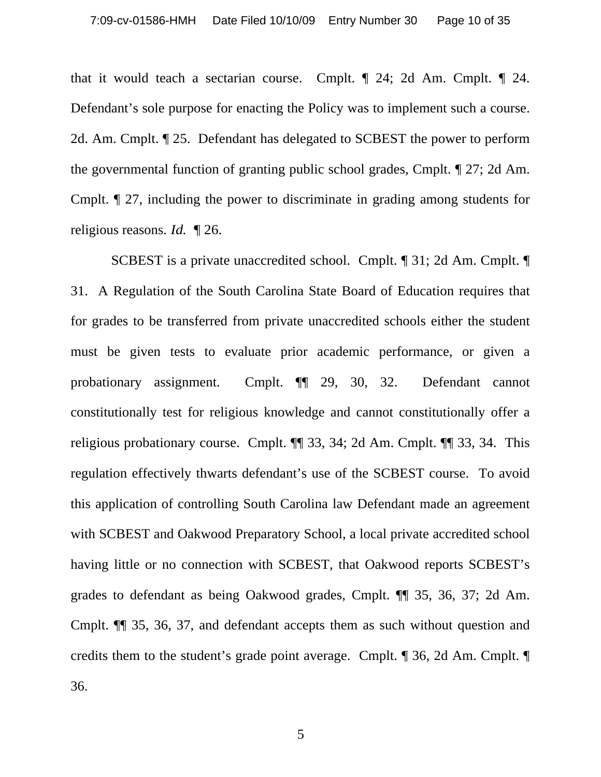that it would teach a sectarian course. Cmplt. ¶ 24; 2d Am. Cmplt. ¶ 24. Defendant's sole purpose for enacting the Policy was to implement such a course. 2d. Am. Cmplt. ¶ 25. Defendant has delegated to SCBEST the power to perform the governmental function of granting public school grades, Cmplt. ¶ 27; 2d Am. Cmplt. ¶ 27, including the power to discriminate in grading among students for religious reasons. *Id.* ¶ 26.

 SCBEST is a private unaccredited school. Cmplt. ¶ 31; 2d Am. Cmplt. ¶ 31. A Regulation of the South Carolina State Board of Education requires that for grades to be transferred from private unaccredited schools either the student must be given tests to evaluate prior academic performance, or given a probationary assignment. Cmplt. ¶¶ 29, 30, 32. Defendant cannot constitutionally test for religious knowledge and cannot constitutionally offer a religious probationary course. Cmplt. ¶¶ 33, 34; 2d Am. Cmplt. ¶¶ 33, 34. This regulation effectively thwarts defendant's use of the SCBEST course. To avoid this application of controlling South Carolina law Defendant made an agreement with SCBEST and Oakwood Preparatory School, a local private accredited school having little or no connection with SCBEST, that Oakwood reports SCBEST's grades to defendant as being Oakwood grades, Cmplt. ¶¶ 35, 36, 37; 2d Am. Cmplt. ¶¶ 35, 36, 37, and defendant accepts them as such without question and credits them to the student's grade point average. Cmplt. ¶ 36, 2d Am. Cmplt. ¶ 36.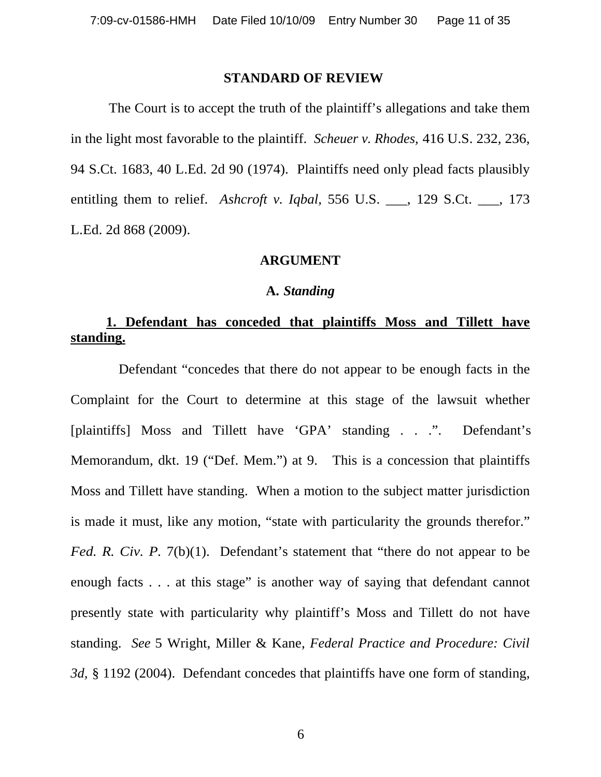#### **STANDARD OF REVIEW**

 The Court is to accept the truth of the plaintiff's allegations and take them in the light most favorable to the plaintiff. *Scheuer v. Rhodes,* 416 U.S. 232, 236, 94 S.Ct. 1683, 40 L.Ed. 2d 90 (1974). Plaintiffs need only plead facts plausibly entitling them to relief. *Ashcroft v. Iqbal,* 556 U.S. \_\_\_, 129 S.Ct. \_\_\_, 173 L.Ed. 2d 868 (2009).

#### **ARGUMENT**

#### **A.** *Standing*

### **1. Defendant has conceded that plaintiffs Moss and Tillett have standing.**

 Defendant "concedes that there do not appear to be enough facts in the Complaint for the Court to determine at this stage of the lawsuit whether [plaintiffs] Moss and Tillett have 'GPA' standing . . .". Defendant's Memorandum, dkt. 19 ("Def. Mem.") at 9. This is a concession that plaintiffs Moss and Tillett have standing. When a motion to the subject matter jurisdiction is made it must, like any motion, "state with particularity the grounds therefor." *Fed. R. Civ. P.* 7(b)(1). Defendant's statement that "there do not appear to be enough facts . . . at this stage" is another way of saying that defendant cannot presently state with particularity why plaintiff's Moss and Tillett do not have standing. *See* 5 Wright, Miller & Kane, *Federal Practice and Procedure: Civil 3d,* § 1192 (2004). Defendant concedes that plaintiffs have one form of standing,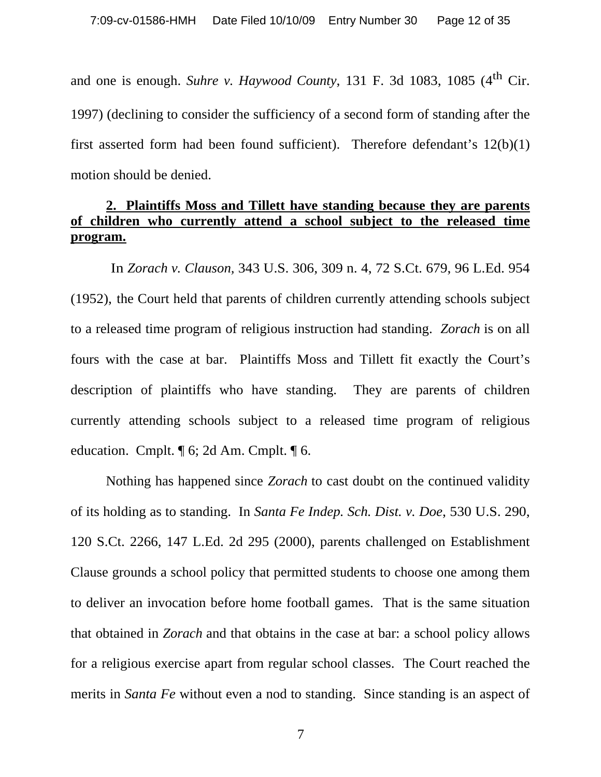and one is enough. *Suhre v. Haywood County*, 131 F. 3d 1083, 1085  $(4<sup>th</sup>$  Cir. 1997) (declining to consider the sufficiency of a second form of standing after the first asserted form had been found sufficient). Therefore defendant's 12(b)(1) motion should be denied.

### **2. Plaintiffs Moss and Tillett have standing because they are parents of children who currently attend a school subject to the released time program.**

 In *Zorach v. Clauson,* 343 U.S. 306, 309 n. 4, 72 S.Ct. 679, 96 L.Ed. 954 (1952), the Court held that parents of children currently attending schools subject to a released time program of religious instruction had standing. *Zorach* is on all fours with the case at bar. Plaintiffs Moss and Tillett fit exactly the Court's description of plaintiffs who have standing. They are parents of children currently attending schools subject to a released time program of religious education. Cmplt. ¶ 6; 2d Am. Cmplt. ¶ 6.

Nothing has happened since *Zorach* to cast doubt on the continued validity of its holding as to standing. In *Santa Fe Indep. Sch. Dist. v. Doe*, 530 U.S. 290, 120 S.Ct. 2266, 147 L.Ed. 2d 295 (2000), parents challenged on Establishment Clause grounds a school policy that permitted students to choose one among them to deliver an invocation before home football games. That is the same situation that obtained in *Zorach* and that obtains in the case at bar: a school policy allows for a religious exercise apart from regular school classes. The Court reached the merits in *Santa Fe* without even a nod to standing. Since standing is an aspect of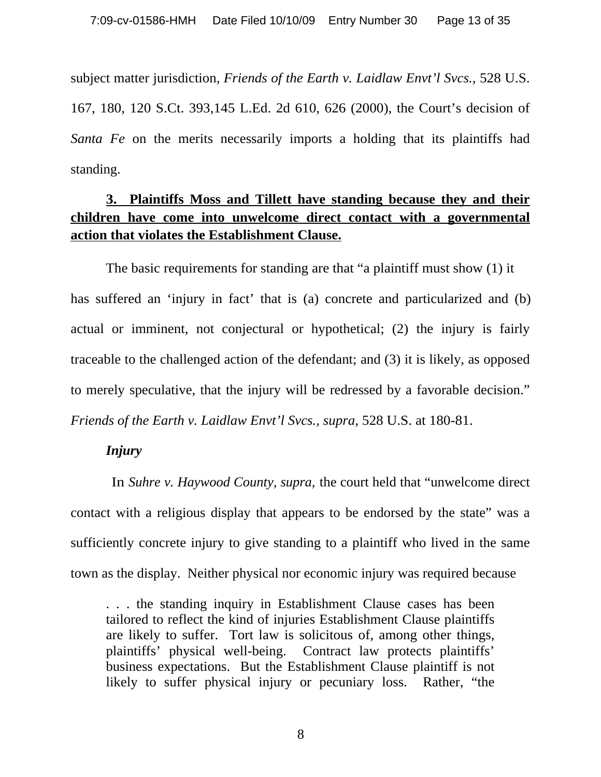subject matter jurisdiction, *Friends of the Earth v. Laidlaw Envt'l Svcs.,* 528 U.S. 167, 180, 120 S.Ct. 393,145 L.Ed. 2d 610, 626 (2000), the Court's decision of *Santa Fe* on the merits necessarily imports a holding that its plaintiffs had standing.

# **3. Plaintiffs Moss and Tillett have standing because they and their children have come into unwelcome direct contact with a governmental action that violates the Establishment Clause.**

 The basic requirements for standing are that "a plaintiff must show (1) it has suffered an 'injury in fact' that is (a) concrete and particularized and (b) actual or imminent, not conjectural or hypothetical; (2) the injury is fairly traceable to the challenged action of the defendant; and (3) it is likely, as opposed to merely speculative, that the injury will be redressed by a favorable decision." *Friends of the Earth v. Laidlaw Envt'l Svcs., supra, 528 U.S. at 180-81.* 

#### *Injury*

 In *Suhre v. Haywood County, supra,* the court held that "unwelcome direct contact with a religious display that appears to be endorsed by the state" was a sufficiently concrete injury to give standing to a plaintiff who lived in the same town as the display. Neither physical nor economic injury was required because

. . . the standing inquiry in Establishment Clause cases has been tailored to reflect the kind of injuries Establishment Clause plaintiffs are likely to suffer. Tort law is solicitous of, among other things, plaintiffs' physical well-being. Contract law protects plaintiffs' business expectations. But the Establishment Clause plaintiff is not likely to suffer physical injury or pecuniary loss. Rather, "the

8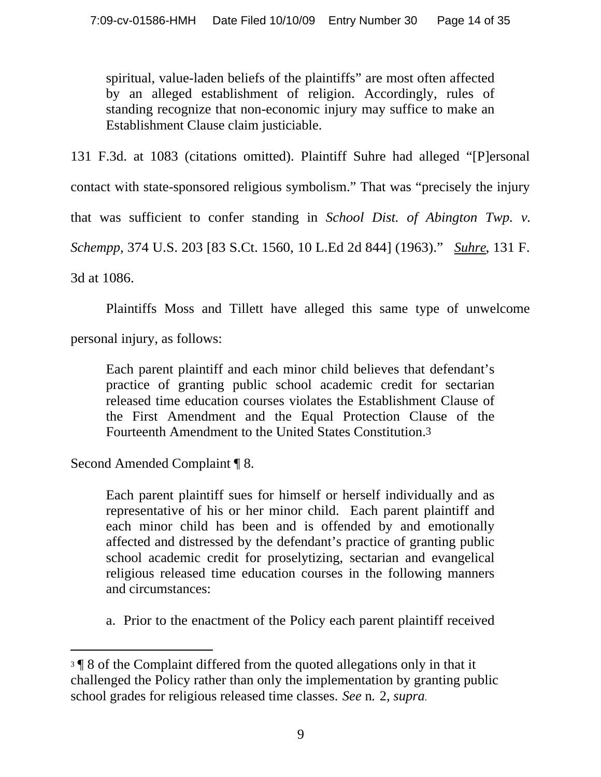spiritual, value-laden beliefs of the plaintiffs" are most often affected by an alleged establishment of religion. Accordingly, rules of standing recognize that non-economic injury may suffice to make an Establishment Clause claim justiciable.

131 F.3d. at 1083 (citations omitted). Plaintiff Suhre had alleged "[P]ersonal

contact with state-sponsored religious symbolism." That was "precisely the injury

that was sufficient to confer standing in *School Dist. of Abington Twp. v.*

*Schempp,* 374 U.S. 203 [83 S.Ct. 1560, 10 L.Ed 2d 844] (1963)." *Suhre*, 131 F.

3d at 1086.

Plaintiffs Moss and Tillett have alleged this same type of unwelcome

personal injury, as follows:

Each parent plaintiff and each minor child believes that defendant's practice of granting public school academic credit for sectarian released time education courses violates the Establishment Clause of the First Amendment and the Equal Protection Clause of the Fourteenth Amendment to the United States Constitution.3

Second Amended Complaint ¶ 8.

Each parent plaintiff sues for himself or herself individually and as representative of his or her minor child. Each parent plaintiff and each minor child has been and is offended by and emotionally affected and distressed by the defendant's practice of granting public school academic credit for proselytizing, sectarian and evangelical religious released time education courses in the following manners and circumstances:

a. Prior to the enactment of the Policy each parent plaintiff received

<sup>3</sup> ¶ 8 of the Complaint differed from the quoted allegations only in that it challenged the Policy rather than only the implementation by granting public school grades for religious released time classes. *See* n*.* 2*, supra.*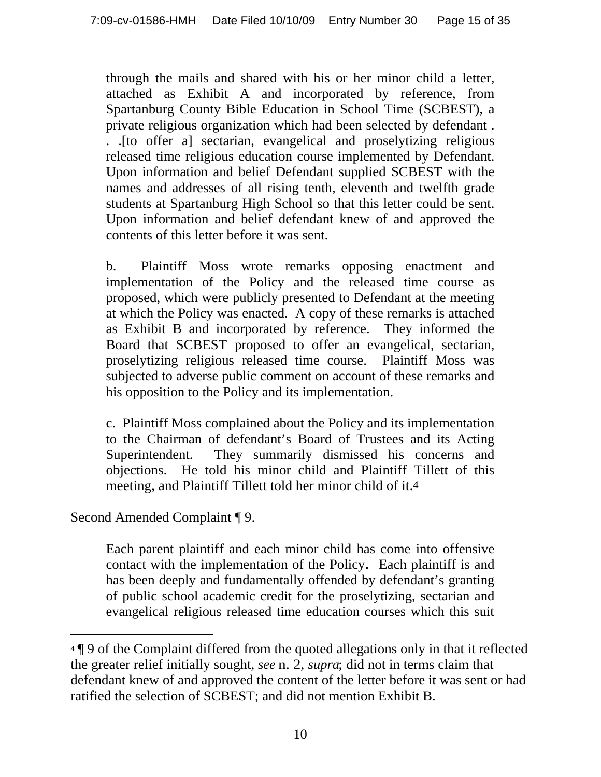through the mails and shared with his or her minor child a letter, attached as Exhibit A and incorporated by reference, from Spartanburg County Bible Education in School Time (SCBEST), a private religious organization which had been selected by defendant . . .[to offer a] sectarian, evangelical and proselytizing religious released time religious education course implemented by Defendant. Upon information and belief Defendant supplied SCBEST with the names and addresses of all rising tenth, eleventh and twelfth grade students at Spartanburg High School so that this letter could be sent. Upon information and belief defendant knew of and approved the contents of this letter before it was sent.

b. Plaintiff Moss wrote remarks opposing enactment and implementation of the Policy and the released time course as proposed, which were publicly presented to Defendant at the meeting at which the Policy was enacted. A copy of these remarks is attached as Exhibit B and incorporated by reference. They informed the Board that SCBEST proposed to offer an evangelical, sectarian, proselytizing religious released time course. Plaintiff Moss was subjected to adverse public comment on account of these remarks and his opposition to the Policy and its implementation.

c. Plaintiff Moss complained about the Policy and its implementation to the Chairman of defendant's Board of Trustees and its Acting Superintendent. They summarily dismissed his concerns and objections. He told his minor child and Plaintiff Tillett of this meeting, and Plaintiff Tillett told her minor child of it.4

Second Amended Complaint ¶ 9.

Each parent plaintiff and each minor child has come into offensive contact with the implementation of the Policy**.** Each plaintiff is and has been deeply and fundamentally offended by defendant's granting of public school academic credit for the proselytizing, sectarian and evangelical religious released time education courses which this suit

<sup>4</sup> ¶ 9 of the Complaint differed from the quoted allegations only in that it reflected the greater relief initially sought, *see* n. 2, *supra*; did not in terms claim that defendant knew of and approved the content of the letter before it was sent or had ratified the selection of SCBEST; and did not mention Exhibit B.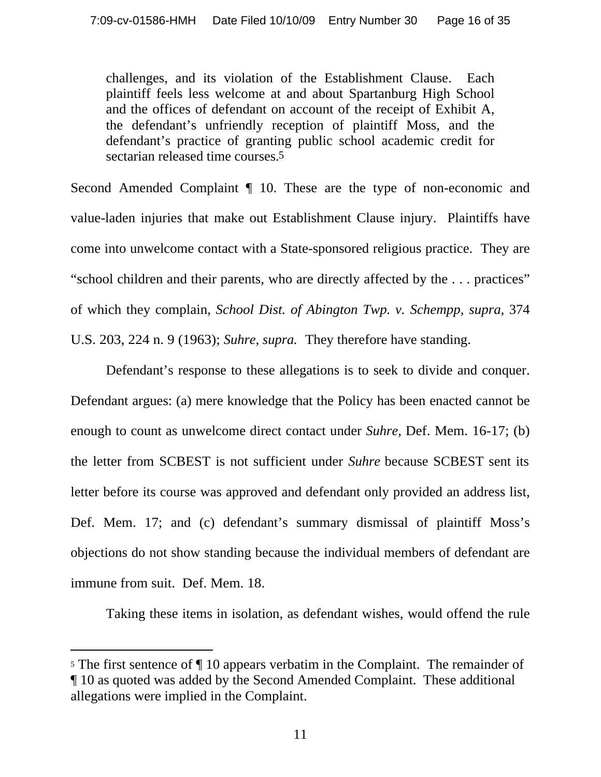challenges, and its violation of the Establishment Clause. Each plaintiff feels less welcome at and about Spartanburg High School and the offices of defendant on account of the receipt of Exhibit A, the defendant's unfriendly reception of plaintiff Moss, and the defendant's practice of granting public school academic credit for sectarian released time courses.5

Second Amended Complaint ¶ 10. These are the type of non-economic and value-laden injuries that make out Establishment Clause injury. Plaintiffs have come into unwelcome contact with a State-sponsored religious practice. They are "school children and their parents, who are directly affected by the . . . practices" of which they complain, *School Dist. of Abington Twp. v. Schempp, supra,* 374 U.S. 203, 224 n. 9 (1963); *Suhre, supra.* They therefore have standing.

Defendant's response to these allegations is to seek to divide and conquer. Defendant argues: (a) mere knowledge that the Policy has been enacted cannot be enough to count as unwelcome direct contact under *Suhre,* Def. Mem. 16-17; (b) the letter from SCBEST is not sufficient under *Suhre* because SCBEST sent its letter before its course was approved and defendant only provided an address list, Def. Mem. 17; and (c) defendant's summary dismissal of plaintiff Moss's objections do not show standing because the individual members of defendant are immune from suit. Def. Mem. 18.

Taking these items in isolation, as defendant wishes, would offend the rule

<sup>5</sup> The first sentence of ¶ 10 appears verbatim in the Complaint. The remainder of ¶ 10 as quoted was added by the Second Amended Complaint. These additional allegations were implied in the Complaint.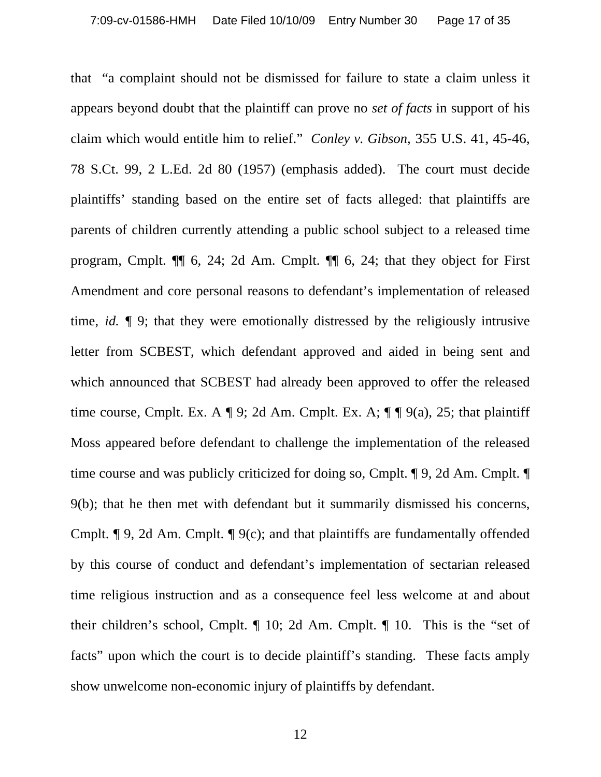that "a complaint should not be dismissed for failure to state a claim unless it appears beyond doubt that the plaintiff can prove no *set of facts* in support of his claim which would entitle him to relief." *Conley v. Gibson,* 355 U.S. 41, 45-46, 78 S.Ct. 99, 2 L.Ed. 2d 80 (1957) (emphasis added). The court must decide plaintiffs' standing based on the entire set of facts alleged: that plaintiffs are parents of children currently attending a public school subject to a released time program, Cmplt. ¶¶ 6, 24; 2d Am. Cmplt. ¶¶ 6, 24; that they object for First Amendment and core personal reasons to defendant's implementation of released time, *id.* ¶ 9; that they were emotionally distressed by the religiously intrusive letter from SCBEST, which defendant approved and aided in being sent and which announced that SCBEST had already been approved to offer the released time course, Cmplt. Ex. A  $\P$  9; 2d Am. Cmplt. Ex. A;  $\P$   $\P$  9(a), 25; that plaintiff Moss appeared before defendant to challenge the implementation of the released time course and was publicly criticized for doing so, Cmplt. ¶ 9, 2d Am. Cmplt. ¶ 9(b); that he then met with defendant but it summarily dismissed his concerns, Cmplt. ¶ 9, 2d Am. Cmplt. ¶ 9(c); and that plaintiffs are fundamentally offended by this course of conduct and defendant's implementation of sectarian released time religious instruction and as a consequence feel less welcome at and about their children's school, Cmplt. ¶ 10; 2d Am. Cmplt. ¶ 10. This is the "set of facts" upon which the court is to decide plaintiff's standing. These facts amply show unwelcome non-economic injury of plaintiffs by defendant.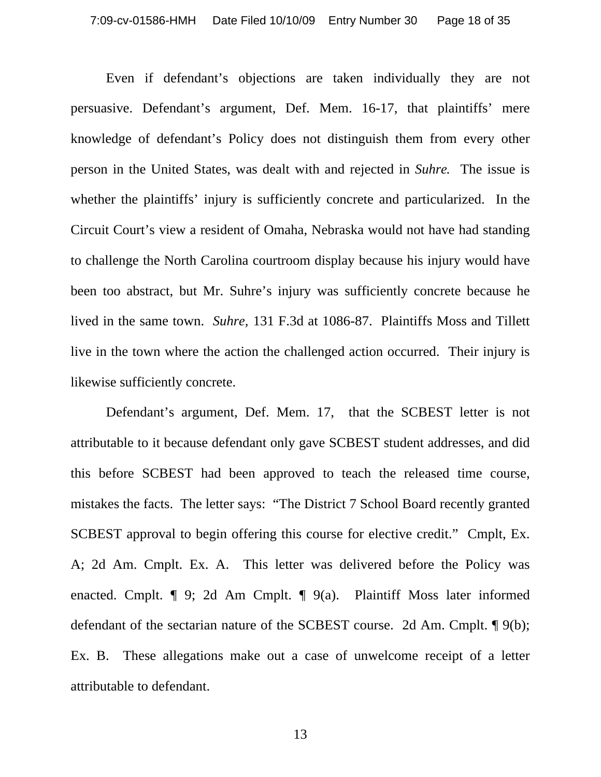Even if defendant's objections are taken individually they are not persuasive. Defendant's argument, Def. Mem. 16-17, that plaintiffs' mere knowledge of defendant's Policy does not distinguish them from every other person in the United States, was dealt with and rejected in *Suhre*. The issue is whether the plaintiffs' injury is sufficiently concrete and particularized. In the Circuit Court's view a resident of Omaha, Nebraska would not have had standing to challenge the North Carolina courtroom display because his injury would have been too abstract, but Mr. Suhre's injury was sufficiently concrete because he lived in the same town. *Suhre,* 131 F.3d at 1086-87. Plaintiffs Moss and Tillett live in the town where the action the challenged action occurred. Their injury is likewise sufficiently concrete.

Defendant's argument, Def. Mem. 17, that the SCBEST letter is not attributable to it because defendant only gave SCBEST student addresses, and did this before SCBEST had been approved to teach the released time course, mistakes the facts. The letter says: "The District 7 School Board recently granted SCBEST approval to begin offering this course for elective credit." Cmplt, Ex. A; 2d Am. Cmplt. Ex. A. This letter was delivered before the Policy was enacted. Cmplt. ¶ 9; 2d Am Cmplt. ¶ 9(a). Plaintiff Moss later informed defendant of the sectarian nature of the SCBEST course. 2d Am. Cmplt. ¶ 9(b); Ex. B. These allegations make out a case of unwelcome receipt of a letter attributable to defendant.

13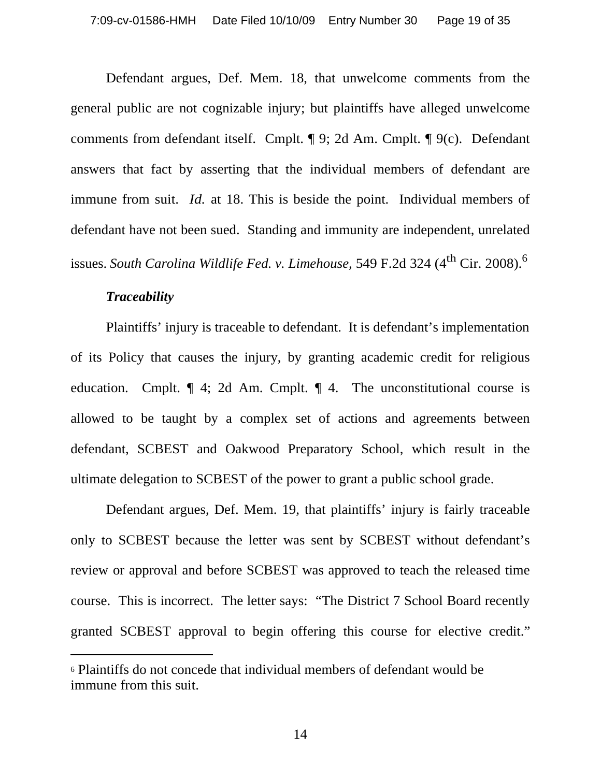Defendant argues, Def. Mem. 18, that unwelcome comments from the general public are not cognizable injury; but plaintiffs have alleged unwelcome comments from defendant itself. Cmplt. ¶ 9; 2d Am. Cmplt. ¶ 9(c). Defendant answers that fact by asserting that the individual members of defendant are immune from suit. *Id.* at 18. This is beside the point. Individual members of defendant have not been sued. Standing and immunity are independent, unrelated issues. *South Carolina Wildlife Fed. v. Limehouse*, 549 F.2d 324 (4<sup>th</sup> Cir. 2008).<sup>6</sup>

#### *Traceability*

Plaintiffs' injury is traceable to defendant. It is defendant's implementation of its Policy that causes the injury, by granting academic credit for religious education. Cmplt. ¶ 4; 2d Am. Cmplt. ¶ 4. The unconstitutional course is allowed to be taught by a complex set of actions and agreements between defendant, SCBEST and Oakwood Preparatory School, which result in the ultimate delegation to SCBEST of the power to grant a public school grade.

Defendant argues, Def. Mem. 19, that plaintiffs' injury is fairly traceable only to SCBEST because the letter was sent by SCBEST without defendant's review or approval and before SCBEST was approved to teach the released time course. This is incorrect. The letter says: "The District 7 School Board recently granted SCBEST approval to begin offering this course for elective credit."

<sup>6</sup> Plaintiffs do not concede that individual members of defendant would be immune from this suit.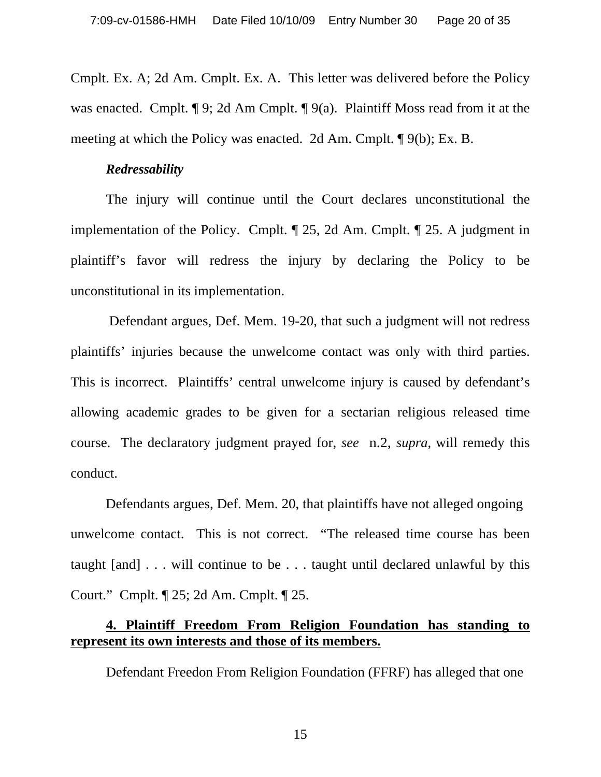Cmplt. Ex. A; 2d Am. Cmplt. Ex. A. This letter was delivered before the Policy was enacted. Cmplt. ¶ 9; 2d Am Cmplt. ¶ 9(a). Plaintiff Moss read from it at the meeting at which the Policy was enacted. 2d Am. Cmplt. ¶ 9(b); Ex. B.

#### *Redressability*

The injury will continue until the Court declares unconstitutional the implementation of the Policy. Cmplt. ¶ 25, 2d Am. Cmplt. ¶ 25. A judgment in plaintiff's favor will redress the injury by declaring the Policy to be unconstitutional in its implementation.

 Defendant argues, Def. Mem. 19-20, that such a judgment will not redress plaintiffs' injuries because the unwelcome contact was only with third parties. This is incorrect. Plaintiffs' central unwelcome injury is caused by defendant's allowing academic grades to be given for a sectarian religious released time course. The declaratory judgment prayed for, *see* n.2, *supra,* will remedy this conduct.

 Defendants argues, Def. Mem. 20, that plaintiffs have not alleged ongoing unwelcome contact. This is not correct. "The released time course has been taught [and] . . . will continue to be . . . taught until declared unlawful by this Court." Cmplt. ¶ 25; 2d Am. Cmplt. ¶ 25.

### **4. Plaintiff Freedom From Religion Foundation has standing to represent its own interests and those of its members.**

Defendant Freedon From Religion Foundation (FFRF) has alleged that one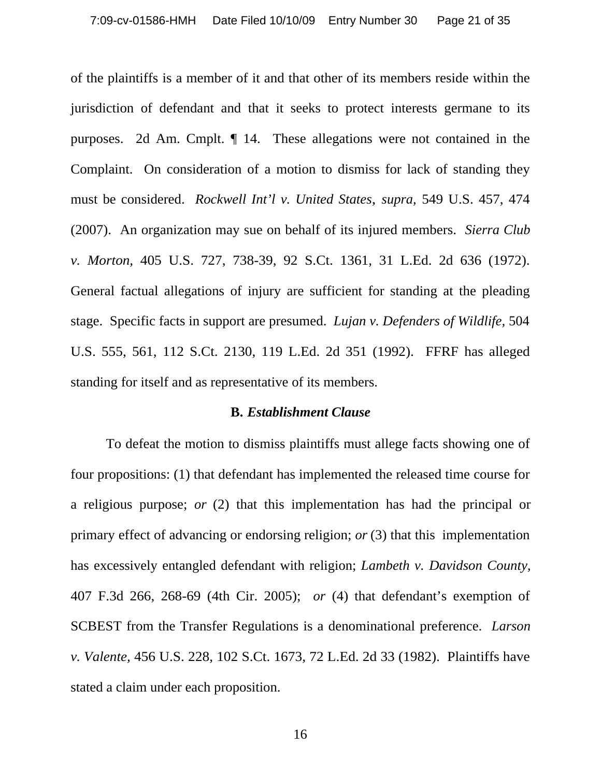of the plaintiffs is a member of it and that other of its members reside within the jurisdiction of defendant and that it seeks to protect interests germane to its purposes. 2d Am. Cmplt. ¶ 14. These allegations were not contained in the Complaint. On consideration of a motion to dismiss for lack of standing they must be considered. *Rockwell Int'l v. United States*, *supra,* 549 U.S. 457, 474 (2007). An organization may sue on behalf of its injured members. *Sierra Club v. Morton,* 405 U.S. 727, 738-39, 92 S.Ct. 1361, 31 L.Ed. 2d 636 (1972). General factual allegations of injury are sufficient for standing at the pleading stage. Specific facts in support are presumed. *Lujan v. Defenders of Wildlife,* 504 U.S. 555, 561, 112 S.Ct. 2130, 119 L.Ed. 2d 351 (1992). FFRF has alleged standing for itself and as representative of its members.

#### **B.** *Establishment Clause*

To defeat the motion to dismiss plaintiffs must allege facts showing one of four propositions: (1) that defendant has implemented the released time course for a religious purpose; *or* (2) that this implementation has had the principal or primary effect of advancing or endorsing religion; *or* (3) that this implementation has excessively entangled defendant with religion; *Lambeth v. Davidson County,*  407 F.3d 266, 268-69 (4th Cir. 2005); *or* (4) that defendant's exemption of SCBEST from the Transfer Regulations is a denominational preference. *Larson v. Valente,* 456 U.S. 228, 102 S.Ct. 1673, 72 L.Ed. 2d 33 (1982). Plaintiffs have stated a claim under each proposition.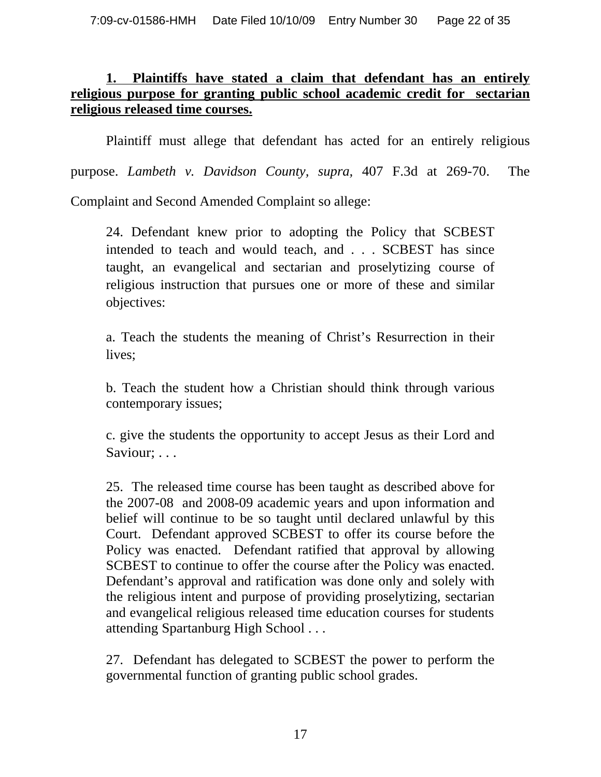### **1. Plaintiffs have stated a claim that defendant has an entirely religious purpose for granting public school academic credit for sectarian religious released time courses.**

Plaintiff must allege that defendant has acted for an entirely religious

purpose. *Lambeth v. Davidson County, supra,* 407 F.3d at 269-70. The

Complaint and Second Amended Complaint so allege:

24. Defendant knew prior to adopting the Policy that SCBEST intended to teach and would teach, and . . . SCBEST has since taught, an evangelical and sectarian and proselytizing course of religious instruction that pursues one or more of these and similar objectives:

a. Teach the students the meaning of Christ's Resurrection in their lives;

b. Teach the student how a Christian should think through various contemporary issues;

c. give the students the opportunity to accept Jesus as their Lord and Saviour; . . .

25. The released time course has been taught as described above for the 2007-08 and 2008-09 academic years and upon information and belief will continue to be so taught until declared unlawful by this Court. Defendant approved SCBEST to offer its course before the Policy was enacted. Defendant ratified that approval by allowing SCBEST to continue to offer the course after the Policy was enacted. Defendant's approval and ratification was done only and solely with the religious intent and purpose of providing proselytizing, sectarian and evangelical religious released time education courses for students attending Spartanburg High School . . .

27. Defendant has delegated to SCBEST the power to perform the governmental function of granting public school grades.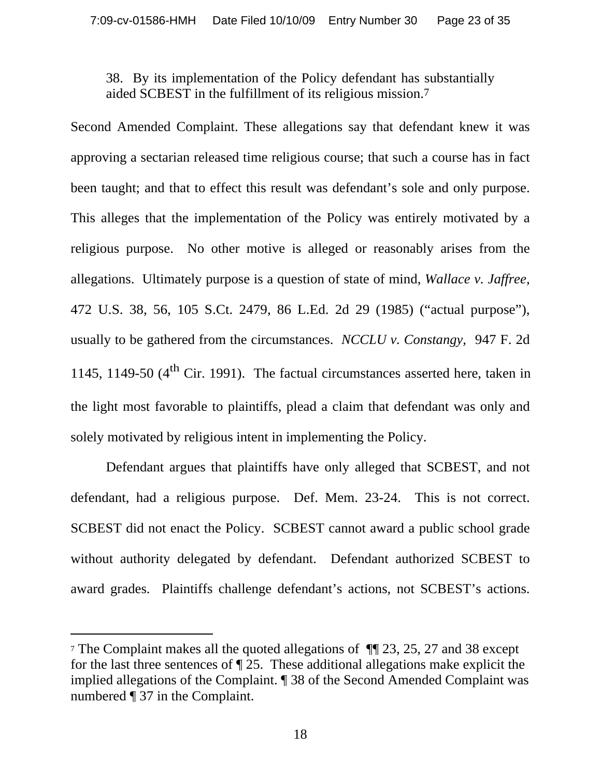38. By its implementation of the Policy defendant has substantially aided SCBEST in the fulfillment of its religious mission.7

Second Amended Complaint. These allegations say that defendant knew it was approving a sectarian released time religious course; that such a course has in fact been taught; and that to effect this result was defendant's sole and only purpose. This alleges that the implementation of the Policy was entirely motivated by a religious purpose. No other motive is alleged or reasonably arises from the allegations. Ultimately purpose is a question of state of mind, *Wallace v. Jaffree,* 472 U.S. 38, 56, 105 S.Ct. 2479, 86 L.Ed. 2d 29 (1985) ("actual purpose"), usually to be gathered from the circumstances. *NCCLU v. Constangy,* 947 F. 2d 1145, 1149-50  $(4^{th}$  Cir. 1991). The factual circumstances asserted here, taken in the light most favorable to plaintiffs, plead a claim that defendant was only and solely motivated by religious intent in implementing the Policy.

Defendant argues that plaintiffs have only alleged that SCBEST, and not defendant, had a religious purpose. Def. Mem. 23-24. This is not correct. SCBEST did not enact the Policy. SCBEST cannot award a public school grade without authority delegated by defendant. Defendant authorized SCBEST to award grades. Plaintiffs challenge defendant's actions, not SCBEST's actions.

<sup>7</sup> The Complaint makes all the quoted allegations of ¶¶ 23, 25, 27 and 38 except for the last three sentences of ¶ 25. These additional allegations make explicit the implied allegations of the Complaint. ¶ 38 of the Second Amended Complaint was numbered ¶ 37 in the Complaint.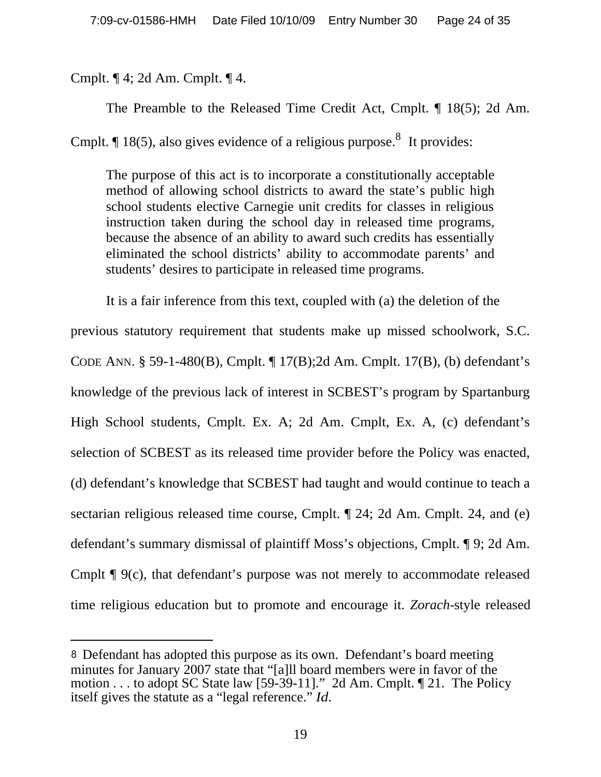Cmplt. ¶ 4; 2d Am. Cmplt. ¶ 4.

The Preamble to the Released Time Credit Act, Cmplt. ¶ 18(5); 2d Am.

Cmplt.  $\P$  18(5), also gives evidence of a religious purpose.<sup>8</sup> It provides:

The purpose of this act is to incorporate a constitutionally acceptable method of allowing school districts to award the state's public high school students elective Carnegie unit credits for classes in religious instruction taken during the school day in released time programs, because the absence of an ability to award such credits has essentially eliminated the school districts' ability to accommodate parents' and students' desires to participate in released time programs.

It is a fair inference from this text, coupled with (a) the deletion of the previous statutory requirement that students make up missed schoolwork, S.C. CODE ANN. § 59-1-480(B), Cmplt. ¶ 17(B);2d Am. Cmplt. 17(B), (b) defendant's knowledge of the previous lack of interest in SCBEST's program by Spartanburg High School students, Cmplt. Ex. A; 2d Am. Cmplt, Ex. A, (c) defendant's selection of SCBEST as its released time provider before the Policy was enacted, (d) defendant's knowledge that SCBEST had taught and would continue to teach a sectarian religious released time course, Cmplt. ¶ 24; 2d Am. Cmplt. 24, and (e) defendant's summary dismissal of plaintiff Moss's objections, Cmplt. ¶ 9; 2d Am. Cmplt ¶ 9(c), that defendant's purpose was not merely to accommodate released time religious education but to promote and encourage it. *Zorach-*style released

Defendant has adopted this purpose as its own. Defendant's board meeting minutes for January 2007 state that "[a]ll board members were in favor of the motion . . . to adopt SC State law [59-39-11]." 2d Am. Cmplt. ¶ 21. The Policy itself gives the statute as a "legal reference." *Id.*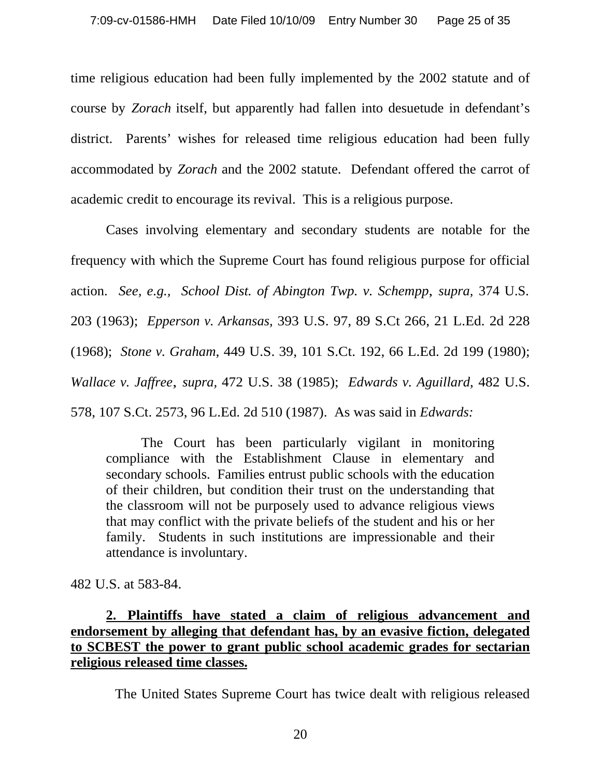time religious education had been fully implemented by the 2002 statute and of course by *Zorach* itself, but apparently had fallen into desuetude in defendant's district. Parents' wishes for released time religious education had been fully accommodated by *Zorach* and the 2002 statute. Defendant offered the carrot of academic credit to encourage its revival. This is a religious purpose.

Cases involving elementary and secondary students are notable for the frequency with which the Supreme Court has found religious purpose for official action. *See, e.g., School Dist. of Abington Twp. v. Schempp*, *supra,* 374 U.S. 203 (1963); *Epperson v. Arkansas,* 393 U.S. 97, 89 S.Ct 266, 21 L.Ed. 2d 228 (1968); *Stone v. Graham*, 449 U.S. 39, 101 S.Ct. 192, 66 L.Ed. 2d 199 (1980); *Wallace v. Jaffree*, *supra,* 472 U.S. 38 (1985); *Edwards v. Aguillard*, 482 U.S. 578, 107 S.Ct. 2573, 96 L.Ed. 2d 510 (1987). As was said in *Edwards:*

The Court has been particularly vigilant in monitoring compliance with the Establishment Clause in elementary and secondary schools. Families entrust public schools with the education of their children, but condition their trust on the understanding that the classroom will not be purposely used to advance religious views that may conflict with the private beliefs of the student and his or her family. Students in such institutions are impressionable and their attendance is involuntary.

482 U.S. at 583-84.

## **2. Plaintiffs have stated a claim of religious advancement and endorsement by alleging that defendant has, by an evasive fiction, delegated to SCBEST the power to grant public school academic grades for sectarian religious released time classes.**

The United States Supreme Court has twice dealt with religious released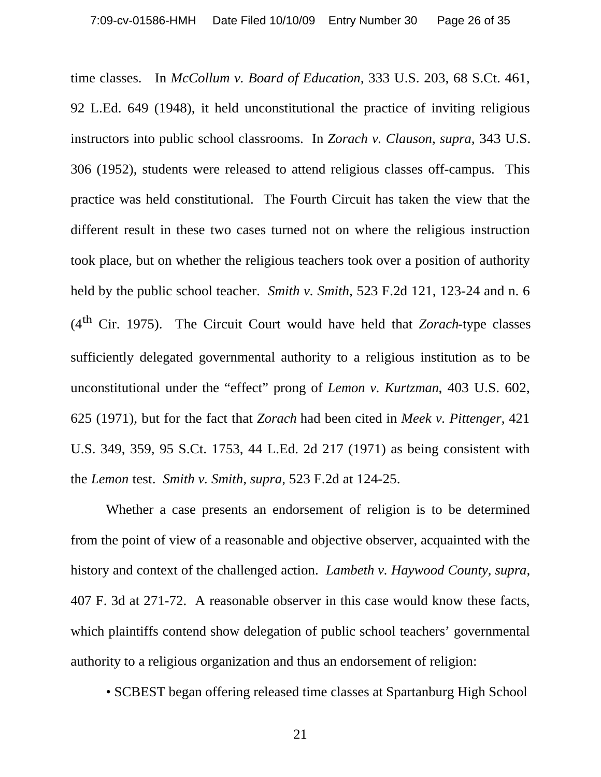time classes. In *McCollum v. Board of Education,* 333 U.S. 203, 68 S.Ct. 461, 92 L.Ed. 649 (1948), it held unconstitutional the practice of inviting religious instructors into public school classrooms. In *Zorach v. Clauson, supra,* 343 U.S. 306 (1952), students were released to attend religious classes off-campus. This practice was held constitutional. The Fourth Circuit has taken the view that the different result in these two cases turned not on where the religious instruction took place, but on whether the religious teachers took over a position of authority held by the public school teacher. *Smith v. Smith*, 523 F.2d 121, 123-24 and n. 6 (4th Cir. 1975). The Circuit Court would have held that *Zorach*-type classes sufficiently delegated governmental authority to a religious institution as to be unconstitutional under the "effect" prong of *Lemon v. Kurtzman*, 403 U.S. 602, 625 (1971), but for the fact that *Zorach* had been cited in *Meek v. Pittenger*, 421 U.S. 349, 359, 95 S.Ct. 1753, 44 L.Ed. 2d 217 (1971) as being consistent with the *Lemon* test. *Smith v. Smith, supra,* 523 F.2d at 124-25.

Whether a case presents an endorsement of religion is to be determined from the point of view of a reasonable and objective observer, acquainted with the history and context of the challenged action. *Lambeth v. Haywood County, supra,*  407 F. 3d at 271-72. A reasonable observer in this case would know these facts, which plaintiffs contend show delegation of public school teachers' governmental authority to a religious organization and thus an endorsement of religion:

• SCBEST began offering released time classes at Spartanburg High School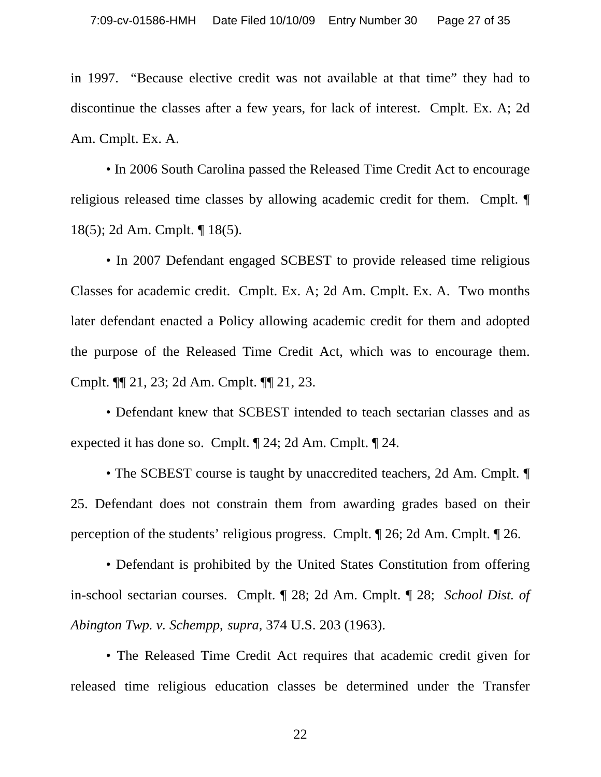in 1997. "Because elective credit was not available at that time" they had to discontinue the classes after a few years, for lack of interest. Cmplt. Ex. A; 2d Am. Cmplt. Ex. A.

• In 2006 South Carolina passed the Released Time Credit Act to encourage religious released time classes by allowing academic credit for them. Cmplt. ¶ 18(5); 2d Am. Cmplt. ¶ 18(5).

• In 2007 Defendant engaged SCBEST to provide released time religious Classes for academic credit. Cmplt. Ex. A; 2d Am. Cmplt. Ex. A. Two months later defendant enacted a Policy allowing academic credit for them and adopted the purpose of the Released Time Credit Act, which was to encourage them. Cmplt. ¶¶ 21, 23; 2d Am. Cmplt. ¶¶ 21, 23.

• Defendant knew that SCBEST intended to teach sectarian classes and as expected it has done so. Cmplt. ¶ 24; 2d Am. Cmplt. ¶ 24.

• The SCBEST course is taught by unaccredited teachers, 2d Am. Cmplt.  $\P$ 25. Defendant does not constrain them from awarding grades based on their perception of the students' religious progress. Cmplt. ¶ 26; 2d Am. Cmplt. ¶ 26.

• Defendant is prohibited by the United States Constitution from offering in-school sectarian courses. Cmplt. ¶ 28; 2d Am. Cmplt. ¶ 28; *School Dist. of Abington Twp. v. Schempp*, *supra,* 374 U.S. 203 (1963).

• The Released Time Credit Act requires that academic credit given for released time religious education classes be determined under the Transfer

22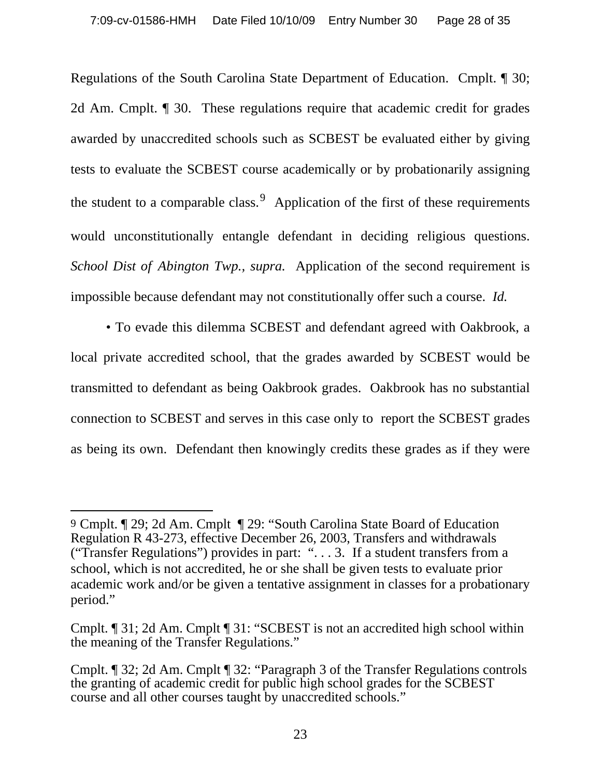Regulations of the South Carolina State Department of Education. Cmplt. ¶ 30; 2d Am. Cmplt. ¶ 30. These regulations require that academic credit for grades awarded by unaccredited schools such as SCBEST be evaluated either by giving tests to evaluate the SCBEST course academically or by probationarily assigning the student to a comparable class.  $9$  Application of the first of these requirements would unconstitutionally entangle defendant in deciding religious questions. *School Dist of Abington Twp., supra.* Application of the second requirement is impossible because defendant may not constitutionally offer such a course. *Id.*

• To evade this dilemma SCBEST and defendant agreed with Oakbrook, a local private accredited school, that the grades awarded by SCBEST would be transmitted to defendant as being Oakbrook grades. Oakbrook has no substantial connection to SCBEST and serves in this case only to report the SCBEST grades as being its own. Defendant then knowingly credits these grades as if they were

<sup>9</sup> Cmplt. ¶ 29; 2d Am. Cmplt ¶ 29: "South Carolina State Board of Education Regulation R 43-273, effective December 26, 2003, Transfers and withdrawals ("Transfer Regulations") provides in part: ". . . 3. If a student transfers from a school, which is not accredited, he or she shall be given tests to evaluate prior academic work and/or be given a tentative assignment in classes for a probationary period."

Cmplt. ¶ 31; 2d Am. Cmplt ¶ 31: "SCBEST is not an accredited high school within the meaning of the Transfer Regulations."

Cmplt. ¶ 32; 2d Am. Cmplt ¶ 32: "Paragraph 3 of the Transfer Regulations controls the granting of academic credit for public high school grades for the SCBEST course and all other courses taught by unaccredited schools."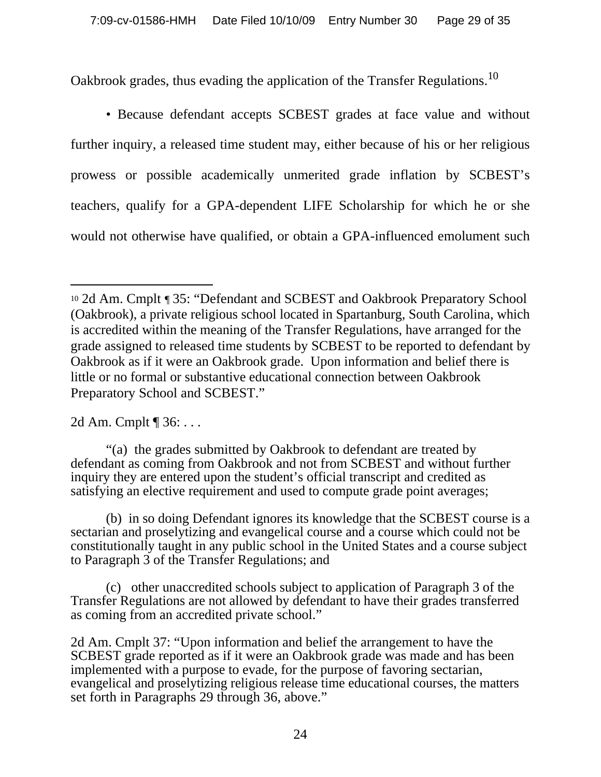Oakbrook grades, thus evading the application of the Transfer Regulations.<sup>10</sup>

• Because defendant accepts SCBEST grades at face value and without further inquiry, a released time student may, either because of his or her religious prowess or possible academically unmerited grade inflation by SCBEST's teachers, qualify for a GPA-dependent LIFE Scholarship for which he or she would not otherwise have qualified, or obtain a GPA-influenced emolument such

2d Am. Cmplt ¶ 36: . . .

"(a) the grades submitted by Oakbrook to defendant are treated by defendant as coming from Oakbrook and not from SCBEST and without further inquiry they are entered upon the student's official transcript and credited as satisfying an elective requirement and used to compute grade point averages;

(b) in so doing Defendant ignores its knowledge that the SCBEST course is a sectarian and proselytizing and evangelical course and a course which could not be constitutionally taught in any public school in the United States and a course subject to Paragraph 3 of the Transfer Regulations; and

(c) other unaccredited schools subject to application of Paragraph 3 of the Transfer Regulations are not allowed by defendant to have their grades transferred as coming from an accredited private school."

2d Am. Cmplt 37: "Upon information and belief the arrangement to have the SCBEST grade reported as if it were an Oakbrook grade was made and has been implemented with a purpose to evade, for the purpose of favoring sectarian, evangelical and proselytizing religious release time educational courses, the matters set forth in Paragraphs 29 through 36, above."

<sup>10</sup> 2d Am. Cmplt ¶ 35: "Defendant and SCBEST and Oakbrook Preparatory School (Oakbrook), a private religious school located in Spartanburg, South Carolina, which is accredited within the meaning of the Transfer Regulations, have arranged for the grade assigned to released time students by SCBEST to be reported to defendant by Oakbrook as if it were an Oakbrook grade. Upon information and belief there is little or no formal or substantive educational connection between Oakbrook Preparatory School and SCBEST."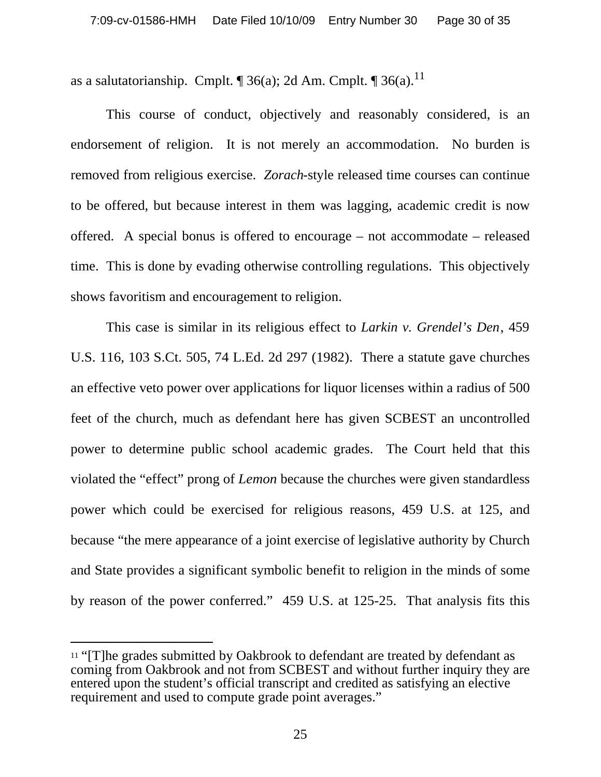as a salutatorianship. Cmplt.  $\P$  36(a); 2d Am. Cmplt.  $\P$  36(a).<sup>11</sup>

This course of conduct, objectively and reasonably considered, is an endorsement of religion. It is not merely an accommodation. No burden is removed from religious exercise. *Zorach*-style released time courses can continue to be offered, but because interest in them was lagging, academic credit is now offered. A special bonus is offered to encourage – not accommodate – released time. This is done by evading otherwise controlling regulations. This objectively shows favoritism and encouragement to religion.

This case is similar in its religious effect to *Larkin v. Grendel's Den*, 459 U.S. 116, 103 S.Ct. 505, 74 L.Ed. 2d 297 (1982). There a statute gave churches an effective veto power over applications for liquor licenses within a radius of 500 feet of the church, much as defendant here has given SCBEST an uncontrolled power to determine public school academic grades. The Court held that this violated the "effect" prong of *Lemon* because the churches were given standardless power which could be exercised for religious reasons, 459 U.S. at 125, and because "the mere appearance of a joint exercise of legislative authority by Church and State provides a significant symbolic benefit to religion in the minds of some by reason of the power conferred." 459 U.S. at 125-25. That analysis fits this

<sup>11</sup> "[T]he grades submitted by Oakbrook to defendant are treated by defendant as coming from Oakbrook and not from SCBEST and without further inquiry they are entered upon the student's official transcript and credited as satisfying an elective requirement and used to compute grade point averages."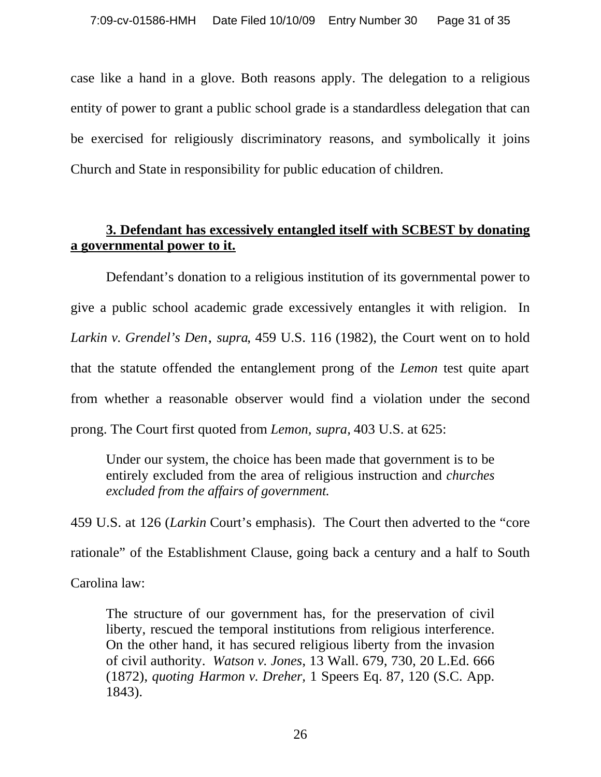case like a hand in a glove. Both reasons apply. The delegation to a religious entity of power to grant a public school grade is a standardless delegation that can be exercised for religiously discriminatory reasons, and symbolically it joins Church and State in responsibility for public education of children.

### **3. Defendant has excessively entangled itself with SCBEST by donating a governmental power to it.**

Defendant's donation to a religious institution of its governmental power to give a public school academic grade excessively entangles it with religion. In *Larkin v. Grendel's Den*, *supra*, 459 U.S. 116 (1982), the Court went on to hold that the statute offended the entanglement prong of the *Lemon* test quite apart from whether a reasonable observer would find a violation under the second prong. The Court first quoted from *Lemon, supra,* 403 U.S. at 625:

Under our system, the choice has been made that government is to be entirely excluded from the area of religious instruction and *churches excluded from the affairs of government.*

459 U.S. at 126 (*Larkin* Court's emphasis). The Court then adverted to the "core rationale" of the Establishment Clause, going back a century and a half to South Carolina law:

The structure of our government has, for the preservation of civil liberty, rescued the temporal institutions from religious interference. On the other hand, it has secured religious liberty from the invasion of civil authority. *Watson v. Jones*, 13 Wall. 679, 730, 20 L.Ed. 666 (1872), *quoting Harmon v. Dreher,* 1 Speers Eq. 87, 120 (S.C. App. 1843).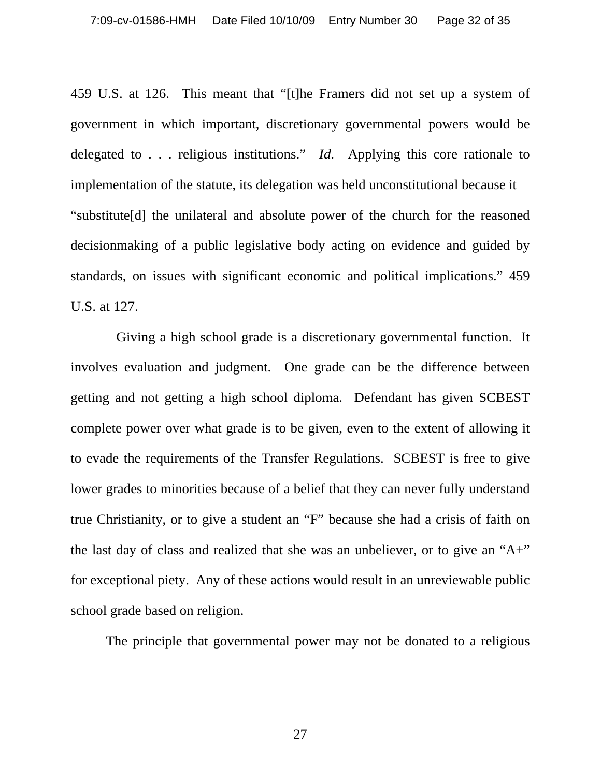459 U.S. at 126. This meant that "[t]he Framers did not set up a system of government in which important, discretionary governmental powers would be delegated to . . . religious institutions." *Id.* Applying this core rationale to implementation of the statute, its delegation was held unconstitutional because it "substitute[d] the unilateral and absolute power of the church for the reasoned decisionmaking of a public legislative body acting on evidence and guided by standards, on issues with significant economic and political implications." 459 U.S. at 127.

 Giving a high school grade is a discretionary governmental function. It involves evaluation and judgment. One grade can be the difference between getting and not getting a high school diploma. Defendant has given SCBEST complete power over what grade is to be given, even to the extent of allowing it to evade the requirements of the Transfer Regulations. SCBEST is free to give lower grades to minorities because of a belief that they can never fully understand true Christianity, or to give a student an "F" because she had a crisis of faith on the last day of class and realized that she was an unbeliever, or to give an "A+" for exceptional piety. Any of these actions would result in an unreviewable public school grade based on religion.

The principle that governmental power may not be donated to a religious

27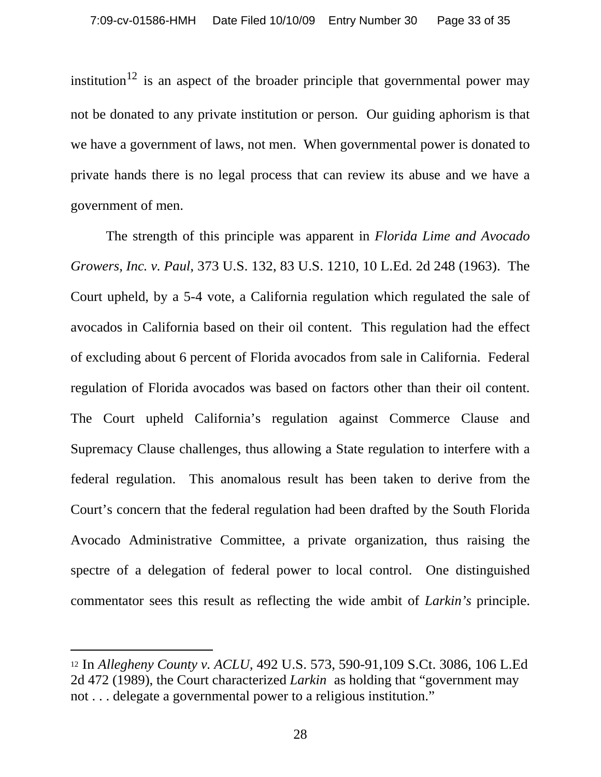institution<sup>12</sup> is an aspect of the broader principle that governmental power may not be donated to any private institution or person. Our guiding aphorism is that we have a government of laws, not men. When governmental power is donated to private hands there is no legal process that can review its abuse and we have a government of men.

The strength of this principle was apparent in *Florida Lime and Avocado Growers, Inc. v. Paul*, 373 U.S. 132, 83 U.S. 1210, 10 L.Ed. 2d 248 (1963). The Court upheld, by a 5-4 vote, a California regulation which regulated the sale of avocados in California based on their oil content. This regulation had the effect of excluding about 6 percent of Florida avocados from sale in California. Federal regulation of Florida avocados was based on factors other than their oil content. The Court upheld California's regulation against Commerce Clause and Supremacy Clause challenges, thus allowing a State regulation to interfere with a federal regulation. This anomalous result has been taken to derive from the Court's concern that the federal regulation had been drafted by the South Florida Avocado Administrative Committee, a private organization, thus raising the spectre of a delegation of federal power to local control. One distinguished commentator sees this result as reflecting the wide ambit of *Larkin's* principle.

<sup>12</sup> In *Allegheny County v. ACLU,* 492 U.S. 573, 590-91,109 S.Ct. 3086, 106 L.Ed 2d 472 (1989), the Court characterized *Larkin* as holding that "government may not . . . delegate a governmental power to a religious institution."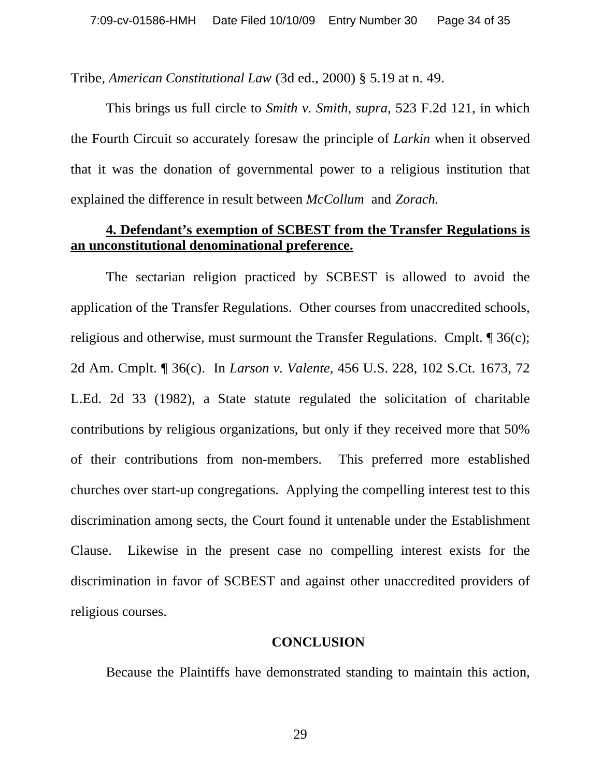Tribe, *American Constitutional Law* (3d ed., 2000) § 5.19 at n. 49.

This brings us full circle to *Smith v. Smith, supra*, 523 F.2d 121, in which the Fourth Circuit so accurately foresaw the principle of *Larkin* when it observed that it was the donation of governmental power to a religious institution that explained the difference in result between *McCollum* and *Zorach.*

#### **4. Defendant's exemption of SCBEST from the Transfer Regulations is an unconstitutional denominational preference.**

The sectarian religion practiced by SCBEST is allowed to avoid the application of the Transfer Regulations. Other courses from unaccredited schools, religious and otherwise, must surmount the Transfer Regulations. Cmplt. ¶ 36(c); 2d Am. Cmplt. ¶ 36(c). In *Larson v. Valente,* 456 U.S. 228, 102 S.Ct. 1673, 72 L.Ed. 2d 33 (1982), a State statute regulated the solicitation of charitable contributions by religious organizations, but only if they received more that 50% of their contributions from non-members. This preferred more established churches over start-up congregations. Applying the compelling interest test to this discrimination among sects, the Court found it untenable under the Establishment Clause. Likewise in the present case no compelling interest exists for the discrimination in favor of SCBEST and against other unaccredited providers of religious courses.

#### **CONCLUSION**

Because the Plaintiffs have demonstrated standing to maintain this action,

29